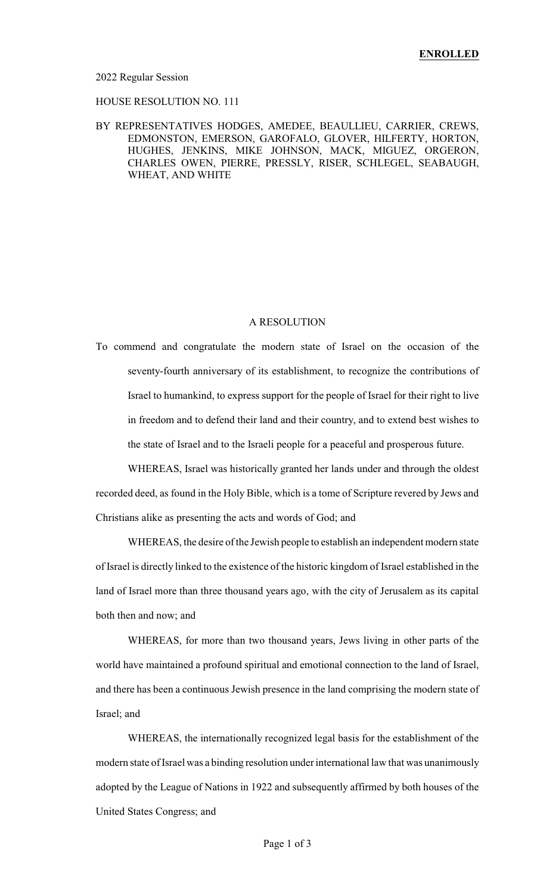#### 2022 Regular Session

## HOUSE RESOLUTION NO. 111

## BY REPRESENTATIVES HODGES, AMEDEE, BEAULLIEU, CARRIER, CREWS, EDMONSTON, EMERSON, GAROFALO, GLOVER, HILFERTY, HORTON, HUGHES, JENKINS, MIKE JOHNSON, MACK, MIGUEZ, ORGERON, CHARLES OWEN, PIERRE, PRESSLY, RISER, SCHLEGEL, SEABAUGH, WHEAT, AND WHITE

#### A RESOLUTION

To commend and congratulate the modern state of Israel on the occasion of the seventy-fourth anniversary of its establishment, to recognize the contributions of Israel to humankind, to express support for the people of Israel for their right to live in freedom and to defend their land and their country, and to extend best wishes to the state of Israel and to the Israeli people for a peaceful and prosperous future.

WHEREAS, Israel was historically granted her lands under and through the oldest recorded deed, as found in the Holy Bible, which is a tome of Scripture revered by Jews and Christians alike as presenting the acts and words of God; and

WHEREAS, the desire of the Jewish people to establish an independent modern state of Israel is directly linked to the existence of the historic kingdom of Israel established in the land of Israel more than three thousand years ago, with the city of Jerusalem as its capital both then and now; and

WHEREAS, for more than two thousand years, Jews living in other parts of the world have maintained a profound spiritual and emotional connection to the land of Israel, and there has been a continuous Jewish presence in the land comprising the modern state of Israel; and

WHEREAS, the internationally recognized legal basis for the establishment of the modern state of Israel was a binding resolution under international law that was unanimously adopted by the League of Nations in 1922 and subsequently affirmed by both houses of the United States Congress; and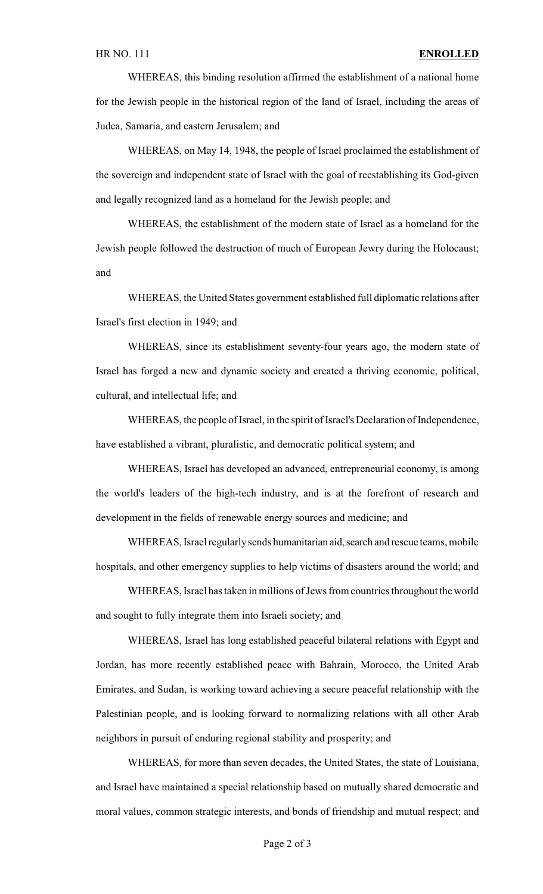WHEREAS, this binding resolution affirmed the establishment of a national home for the Jewish people in the historical region of the land of Israel, including the areas of Judea, Samaria, and eastern Jerusalem; and

WHEREAS, on May 14, 1948, the people of Israel proclaimed the establishment of the sovereign and independent state of Israel with the goal of reestablishing its God-given and legally recognized land as a homeland for the Jewish people; and

WHEREAS, the establishment of the modern state of Israel as a homeland for the Jewish people followed the destruction of much of European Jewry during the Holocaust; and

WHEREAS, the United States government established full diplomatic relations after Israel's first election in 1949; and

WHEREAS, since its establishment seventy-four years ago, the modern state of Israel has forged a new and dynamic society and created a thriving economic, political, cultural, and intellectual life; and

WHEREAS, the people of Israel, in the spirit of Israel's Declaration of Independence, have established a vibrant, pluralistic, and democratic political system; and

WHEREAS, Israel has developed an advanced, entrepreneurial economy, is among the world's leaders of the high-tech industry, and is at the forefront of research and development in the fields of renewable energy sources and medicine; and

WHEREAS, Israel regularly sends humanitarian aid, search and rescue teams, mobile hospitals, and other emergency supplies to help victims of disasters around the world; and

WHEREAS, Israel has taken in millions of Jews from countries throughout the world and sought to fully integrate them into Israeli society; and

WHEREAS, Israel has long established peaceful bilateral relations with Egypt and Jordan, has more recently established peace with Bahrain, Morocco, the United Arab Emirates, and Sudan, is working toward achieving a secure peaceful relationship with the Palestinian people, and is looking forward to normalizing relations with all other Arab neighbors in pursuit of enduring regional stability and prosperity; and

WHEREAS, for more than seven decades, the United States, the state of Louisiana, and Israel have maintained a special relationship based on mutually shared democratic and moral values, common strategic interests, and bonds of friendship and mutual respect; and